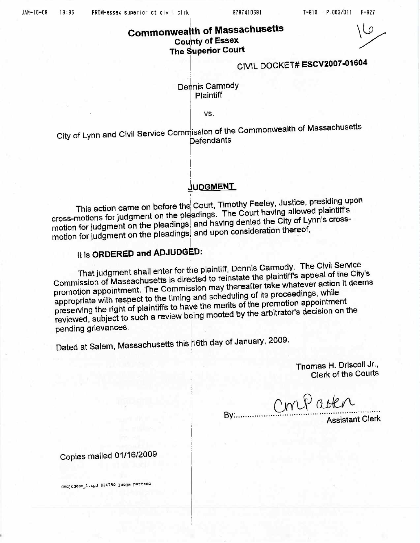9787410691

## **Commonwealth of Massachusetts County of Essex** The Superior Court

 $\Omega$ 

# CIVIL DOCKET# ESCV2007-01604

Dennis Carmody Plaintiff

VS.

City of Lynn and Civil Service Commission of the Commonwealth of Massachusetts **Defendants** 

#### **JUDGMENT**

This action came on before the Court, Timothy Feeley, Justice, presiding upon cross-motions for judgment on the pleadings. The Court having allowed plaintiff's motion for judgment on the pleadings, and having denied the City of Lynn's crossmotion for judgment on the pleadings, and upon consideration thereof,

## It is ORDERED and ADJUDGED:

That judgment shall enter for the plaintiff, Dennis Carmody. The Civil Service Commission of Massachusetts is directed to reinstate the plaintiff's appeal of the City's promotion appointment. The Commission may thereafter take whatever action it deems appropriate with respect to the timing and scheduling of its proceedings, while preserving the right of plaintiffs to have the merits of the promotion appointment reviewed, subject to such a review being mooted by the arbitrator's decision on the pending grievances.

Bv:.....

Dated at Salem, Massachusetts this 16th day of January, 2009.

Thomas H. Driscoll Jr., Clerk of the Courts

Confactor

Assistant Clerk

Copies mailed 01/16/2009

cvdjudgen\_1.wpd 836750 judgm pattenc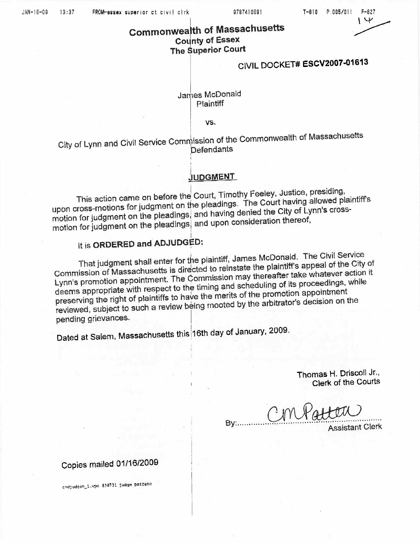9787410691

## **Commonwealth of Massachusetts County of Essex** The Superior Court

# CIVIL DOCKET# ESCV2007-01613

#### James McDonald **Plaintiff**

VS.

City of Lynn and Civil Service Commission of the Commonwealth of Massachusetts Defendants

## **JUDGMENT**

This action came on before the Court, Timothy Feeley, Justice, presiding, upon cross-motions for judgment on the pleadings. The Court having allowed plaintiff's motion for judgment on the pleadings, and having denied the City of Lynn's crossmotion for judgment on the pleadings, and upon consideration thereof,

## It is ORDERED and ADJUDGED:

That judgment shall enter for the plaintiff, James McDonald. The Civil Service Commission of Massachusetts is directed to reinstate the plaintiff's appeal of the City of Lynn's promotion appointment. The Commission may thereafter take whatever action it deems appropriate with respect to the timing and scheduling of its proceedings, while preserving the right of plaintiffs to have the merits of the promotion appointment reviewed, subject to such a review being mooted by the arbitrator's decision on the pending grievances.

Dated at Salem, Massachusetts this 16th day of January, 2009.

Thomas H. Driscoll Jr., Clerk of the Courts

 $By...$ 

**Assistant Clerk** 

# Copies mailed 01/16/2009

evdjudgen\_1.wpd 836731 judgm pattene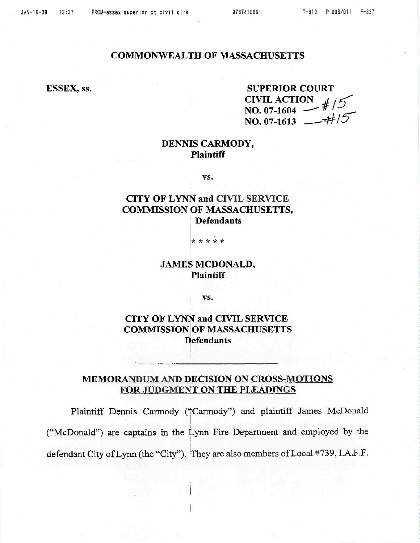#### **COMMONWEALTH OF MASSACHUSETTS**

ESSEX, ss.

**SUPERIOR COURT** CIVIL ACTION  $\#/5$ <br>NO. 07-1604 NO. 07-1613  $-4/5$ 

### DENNIS CARMODY, **Plaintiff**

VS.

## **CITY OF LYNN and CIVIL SERVICE COMMISSION OF MASSACHUSETTS, Defendants**

\* \* \* \* \*

#### **JAMES MCDONALD, Plaintiff**

VS.

**CITY OF LYNN and CIVIL SERVICE COMMISSION OF MASSACHUSETTS Defendants** 

### MEMORANDUM AND DECISION ON CROSS-MOTIONS FOR JUDGMENT ON THE PLEADINGS

Plaintiff Dennis Carmody ("Carmody") and plaintiff James McDonald ("McDonald") are captains in the Lynn Fire Department and employed by the defendant City of Lynn (the "City"). They are also members of Local #739, I.A.F.F.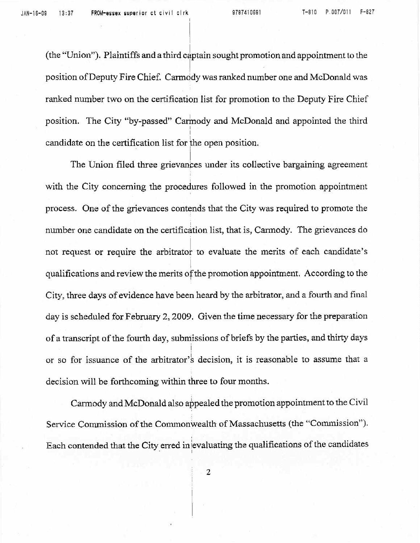(the "Union"). Plaintiffs and a third captain sought promotion and appointment to the  $\label{eq:3.1} \begin{array}{ll} \mathbb{E}[\mathcal{A}] & \mathbb{E}[\mathcal{A}] \\ \mathbb{E}[\mathcal{A}] & \mathbb{E}[\mathcal{A}] \end{array}$ position of Deputy Fire Chief. Carmody was ranked number one and McDonald was ranked number two on the certification list for promotion to the Deputy Fire Chief position. The City "by-passed" Carinody and McDonald and appointed the third I candidate on the certification list for the open position.

. In the second control of the second control of the second control of the second control of the second control of the second control of the second control of the second control of the second control of the second control

The Union filed three grievances under its collective bargaining agreement with the City concerning the procedures followed in the promotion appointment process. One of the grievances contends that the City was required to promote the number one candidate on the certification list, that is, Carmody. The grievances do not request or require the arbitrator to evaluate the merits of each candidate's qualifications and review the merits of the promotion appointment. According to the City, three days of evidence have been heard by the arbitrator, and a fourth and final day is scheduled for February 2, 2009. Given the time necessary for the preparation of a transcript of the fourth day, submissions of briefs by the parties, and thirty days or so for issuance of the arbitrator's decision, it is reasonable to assume that a decision will be forthcoming within three to four months.

Carmody and McDonald also appealed the promotion appointment to the Civil Service Commission of the Commonwealth of Massachusetts (the "Commission"). Each contended that the City erred in evaluating the qualifications of the candidates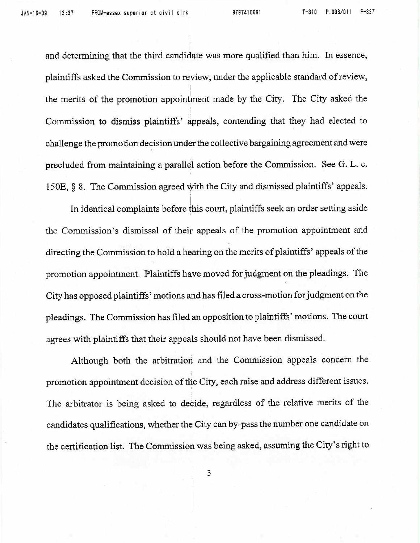and determining that the third candidate was more qualified than him. In essence, plaintiffs asked the Commission to review, under the applicable standard of review, the merits of the promotion appointment made by the City. The City asked the Commission to dismiss plaintiffs' appeals, contending that they had elected to challenge the promotion decision under the collective bargaining agreement and were precluded from maintaining a parallel action before the Commission. See G. L. c. 150E, § 8. The Commission agreed with the City and dismissed plaintiffs' appeals.

In identical complaints before this court, plaintiffs seek an order setting aside the Commission's dismissal of their appeals of the promotion appointment and directing the Commission to hold a hearing on the merits of plaintiffs' appeals of the promotion appointment. Plaintiffs have moved for judgment on the pleadings. The City has opposed plaintiffs' motions and has filed a cross-motion for judgment on the <sup>p</sup>leadings. The Commission has filed an opposition to plaintiffs' motions. The court agrees with plaintiffs that their appeals should not have been dismissed.

Although both the arbitration and the Commission appeals concern the promotion appointment decision of the City, each raise and address different issues. The arbitrator is being asked to decide, regardless of the relative merits of the candidates qualifications, whether the City can by-pass the number one candidate on the certification list. The Commission was being asked, assuming the City's right to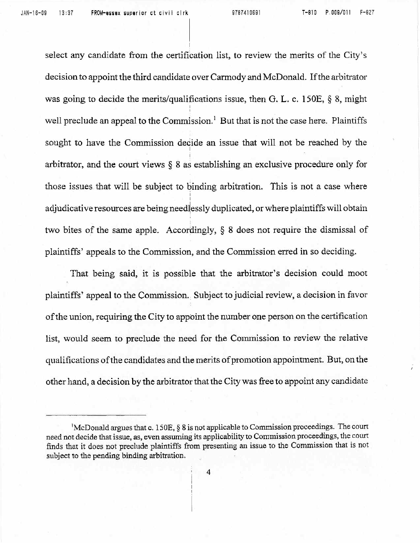select any candidate from the certification list, to review the merits of the City's decision to appoint the third candidate over Carmody and McDonald. If the arbitrator was going to decide the merits/qualifications issue, then G. L. c. 150E, § 8, might I I well preclude an appeal to the Commission.<sup>1</sup> But that is not the case here. Plaintiffs sought to have the Commission decide an issue that will not be reached by the I arbitrator, and the court views § 8 as establishing an exclusive procedure only for those issues that will be subject to binding arbitration. This is not a case where I I adjudicative resources are being need lessly duplicated, or where plaintiffs will obtain two bites of the same apple. Accordingly, § 8 does not require the dismissal of plaintiffs' appeals to the Commission, and the Commission erred in so deciding.

That being said, it is possible that the arbitrator's decision could moot plaintiffs' appeal to the Conunission. Subject to judicial review, a decision in favor of the union, requiring the City to appoint the number one person on the certification list, would seem to preclude the need for the Conunission to review the relative qualifications of the candidates and the merits of promotion appointment. But, on the other hand, a decision by the arbitrator that the City was free to appoint any candidate

<sup>1</sup>McDonald argues that c. l 50E, § 8 is not applicable to Commission proceedings. The court need not decide that issue, as, even assuming its applicability to Commission proceedings, the courr finds that it does not preclude plaintiffs from presenting an issue to the Commission that is not subject to the pending binding arbitration.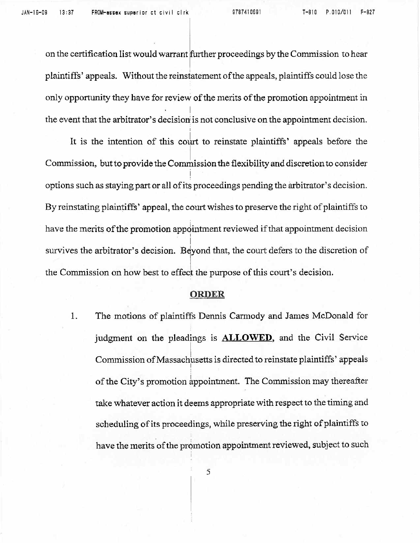on the certification list would warrant further proceedings by the Commission to hear plaintiffs' appeals. Without the reinstatement of the appeals, plaintiffs could lose the only opportunity they have for review of the merits of the promotion appointment in I the event that the arbitrator's decision is not conclusive on the appointment decision.

I

It is the intention of this court to reinstate plaintiffs' appeals before the Commission, but to provide the Commission the flexibility and discretion to consider I options such as staying part or all of its proceedings pending the arbitrator's decision. By reinstating plaintiffs' appeal, the court wishes to preserve the right of plaintiffs to have the merits of the promotion appointment reviewed if that appointment decision I survives the arbitrator's decision. Beyond that, the court defers to the discretion of the Commission on how best to effect the purpose of this court's decision.

#### **ORDER**

1. The motions of plaintiffs Dennis Carmody and James McDonald for judgment on the pleadings is **ALLOWED,** and the Civil Service Commission of Massachusetts is directed to reinstate plaintiffs' appeals of the City's promotion appointment. The Commission may thereafter take whatever action it deems appropriate with respect to the timing and scheduling of its proceedings, while preserving the right of plaintiffs to have the merits of the promotion appointment reviewed, subject to such

5